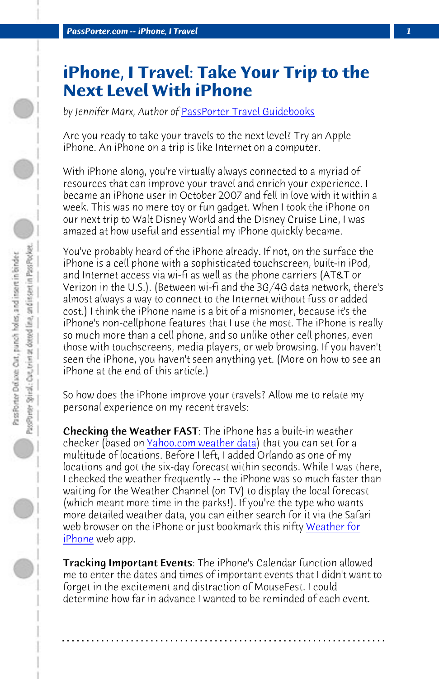*PassPorter.com -- iPhone, I Travel 1*

## **iPhone, I Travel: Take Your Trip to the Next Level With iPhone**

*by Jennifer Marx, Author of* PassPorter Travel Guidebooks

Are you ready to take your travels to the next level? Try an Apple iPhone. An iPhone on a trip is like Internet on a computer.

With iPhone along, you're virtually always connected to a myriad of resources that can improve your travel and enrich your experience. I became an iPhone user in October 2007 and fell in love with it within a week. This was no mere toy or fun gadget. When I took the iPhone on our next trip to Walt Disney World and the Disney Cruise Line, I was amazed at how useful and essential my iPhone quickly became.

You've probably he[ard of the iPhone already](http://mobile.yahoo.com/iphone/weather). If not, on the surface the iPhone is a cell phone with a sophisticated touchscreen, built-in iPod, and Internet access via wi-fi as well as the phone carriers (AT&T or Verizon in the U.S.). (Between wi-fi and the 3G/4G data network, there's almost always a way to connect to the Internet without fuss or added cost.) I think the iPhone name is a bit of a misnomer, because it's the iPhone's non-cellphone features that I use the most. T[he iPhone is r](http://www.albinoblacksheep.com/iphone/weather/?zip=32830)eally [so muc](http://www.albinoblacksheep.com/iphone/weather/?zip=32830)h more than a cell phone, and so unlike other cell phones, even those with touchscreens, media players, or web browsing. If you haven't seen the iPhone, you haven't seen anything yet. (More on how to see an iPhone at the end of this article.)

So how does the iPhone improve your travels? Allow me to relate my personal experience on my recent travels:

Checking the Weather FAST: The iPhone has a built-in weather checker (based on <u>Yahoo.com weather data</u>) that you can set for a multitude of locations. Before I left, I added Orlando as one of my locations and got the six-day forecast within seconds. While I was there, I checked the weather frequently -- the iPhone was so much faster than waiting for the Weather Channel (on TV) to display the local forecast (which meant more time in the parks!). If you're the type who wants more detailed weather data, you can either search for it via the Safari web browser on the iPhone or just bookmark this nifty Weather for iPhone web app.

Tracking Important Events: The iPhone's Calendar function allowed me to enter the dates and times of important events that I didn't want to forget in the excitement and distraction of MouseFest. I could determine how far in advance I wanted to be reminded of each event.

**. . . . . . . . . . . . . . . . . . . . . . . . . . . . . . . . . . . . . . . . . . . . . . . . . . . . . . . . . . . . . . . . . .**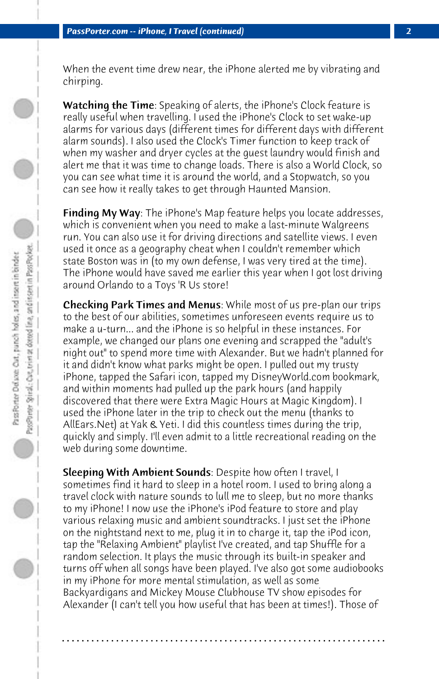When the event time drew near, the iPhone alerted me by vibrating and chirping.

Watching the Time: Speaking of alerts, the iPhone's Clock feature is really useful when travelling. I used the iPhone's Clock to set wake-up alarms for various days (different times for different days with different alarm sounds). I also used the Clock's Timer function to keep track of when my washer and dryer cycles at the guest laundry would finish and alert me that it was time to change loads. There is also a World Clock, so you can see what time it is around the world, and a Stopwatch, so you can see how it really takes to get through Haunted Mansion.

**Finding My Way:** The iPhone's Map feature helps you locate addresses, which is convenient when you need to make a last-minute Walgreens run. You can also use it for driving directions and satellite views. I even used it once as a geography cheat when I couldn't remember which state Boston was in (to my own defense, I was very tired at the time). The iPhone would have saved me earlier this year when I got lost driving around Orlando to a Toys 'R Us store!

Checking Park Times and Menus: While most of us pre-plan our trips to the best of our abilities, sometimes unforeseen events require us to make a u-turn... and the iPhone is so helpful in these instances. For example, we changed our plans one evening and scrapped the "adult's night out" to spend more time with Alexander. But we hadn't planned for it and didn't know what parks might be open. I pulled out my trusty iPhone, tapped the Safari icon, tapped my DisneyWorld.com bookmark, and within moments had pulled up the park hours (and happily discovered that there were Extra Magic Hours at Magic Kingdom). I used the iPhone later in the trip to check out the menu (thanks to AllEars.Net) at Yak & Yeti. I did this countless times during the trip, quickly and simply. I'll even admit to a little recreational reading on the web during some downtime.

**Sleeping With Ambient Sounds**: Despite how often I travel, I sometimes find it hard to sleep in a hotel room. I used to bring along a travel clock with nature sounds to lull me to sleep, but no more thanks to my iPhone! I now use the iPhone's iPod feature to store and play various relaxing music and ambient soundtracks. I just set the iPhone on the nightstand next to me, plug it in to charge it, tap the iPod icon, tap the "Relaxing Ambient" playlist I've created, and tap Shuffle for a random selection. It plays the music through its built-in speaker and turns off when all songs have been played. I've also got some audiobooks in my iPhone for more mental stimulation, as well as some Backyardigans and Mickey Mouse Clubhouse TV show episodes for Alexander (I can't tell you how useful that has been at times!). Those of

**. . . . . . . . . . . . . . . . . . . . . . . . . . . . . . . . . . . . . . . . . . . . . . . . . . . . . . . . . . . . . . . . . .**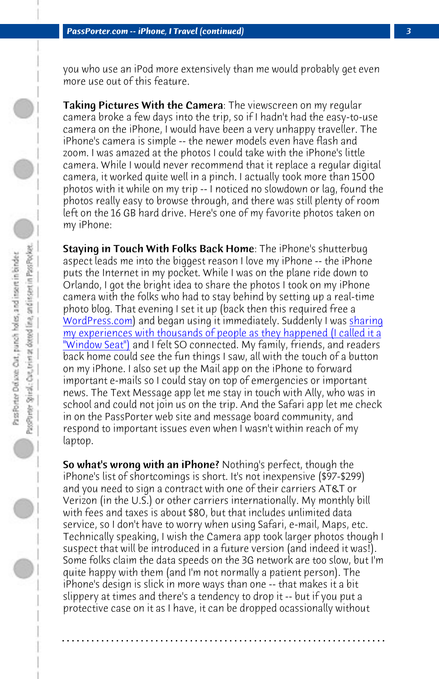## *PassPorter.com -- iPhone, I Travel (continued) 3*

you who use an iPod more extensively than me would probably get even more use out of this feature.

Taking Pictures With the Camera: The viewscreen on my regular [camera broke a](http://www.wordpress.com/) few days into the trip, so if I hadn't had the easy[-to-use](http://www.passporterboards.com/forums/window-seat-real-time-photo-trip-report-passporter/) [camera on the iPhone, I would have been a very unhappy traveller. The](http://www.passporterboards.com/forums/window-seat-real-time-photo-trip-report-passporter/) [iPhone's camer](http://www.passporterboards.com/forums/window-seat-real-time-photo-trip-report-passporter/)a is simple -- the newer models even have flash and zoom. I was amazed at the photos I could take with the iPhone's little camera. While I would never recommend that it replace a regular digital camera, it worked quite well in a pinch. I actually took more than 1500 photos with it while on my trip -- I noticed no slowdown or lag, found the photos really easy to browse through, and there was still plenty of room left on the 16 GB hard drive. Here's one of my favorite photos taken on my iPhone:

Staying in Touch With Folks Back Home: The iPhone's shutterbug aspect leads me into the biggest reason I love my iPhone -- the iPhone puts the Internet in my pocket. While I was on the plane ride down to Orlando, I got the bright idea to share the photos I took on my iPhone camera with the folks who had to stay behind by setting up a real-time photo blog. That evening I set it up (back then this required free a WordPress.com) and began using it immediately. Suddenly I was sharing my experiences with thousands of people as they happened (I called it a "Window Seat") and I felt SO connected. My family, friends, and readers back home could see the fun things I saw, all with the touch of a button on my iPhone. I also set up the Mail app on the iPhone to forward important e-mails so I could stay on top of emergencies or important news. The Text Message app let me stay in touch with Ally, who was in school and could not join us on the trip. And the Safari app let me check in on the PassPorter web site and message board community, and respond to important issues even when I wasn't within reach of my laptop.

So what's wrong with an iPhone? Nothing's perfect, though the iPhone's list of shortcomings is short. It's not inexpensive (\$97-\$299) and you need to sign a contract with one of their carriers AT&T or Verizon (in the U.S.) or other carriers internationally. My monthly bill with fees and taxes is about \$80, but that includes unlimited data service, so I don't have to worry when using Safari, e-mail, Maps, etc. Technically speaking, I wish the Camera app took larger photos though I suspect that will be introduced in a future version (and indeed it was!). Some folks claim the data speeds on the 3G network are too slow, but I'm quite happy with them (and I'm not normally a patient person). The iPhone's design is slick in more ways than one -- that makes it a bit slippery at times and there's a tendency to drop it -- but if you put a protective case on it as I have, it can be dropped ocassionally without

**. . . . . . . . . . . . . . . . . . . . . . . . . . . . . . . . . . . . . . . . . . . . . . . . . . . . . . . . . . . . . . . . . .**